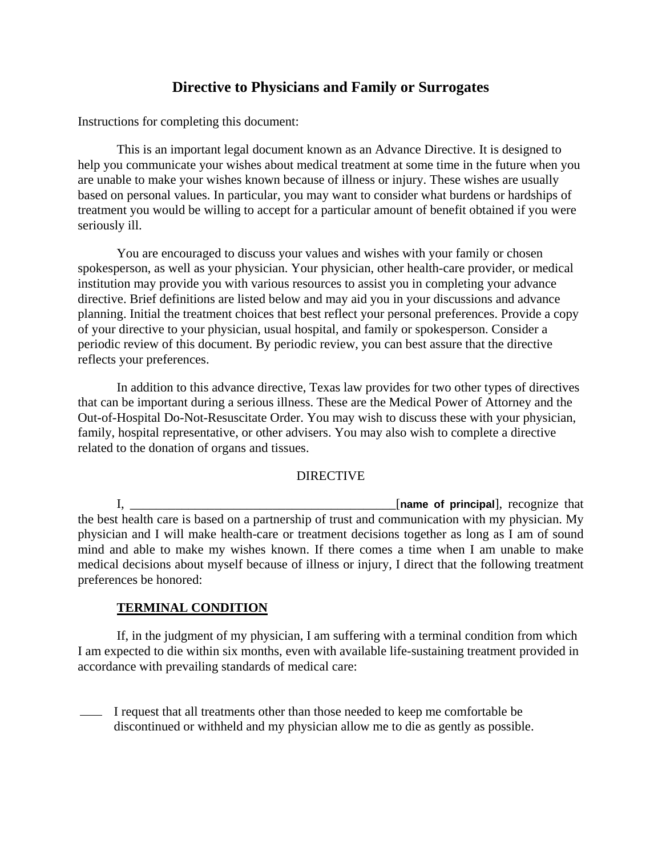# **Directive to Physicians and Family or Surrogates**

Instructions for completing this document:

This is an important legal document known as an Advance Directive. It is designed to help you communicate your wishes about medical treatment at some time in the future when you are unable to make your wishes known because of illness or injury. These wishes are usually based on personal values. In particular, you may want to consider what burdens or hardships of treatment you would be willing to accept for a particular amount of benefit obtained if you were seriously ill.

You are encouraged to discuss your values and wishes with your family or chosen spokesperson, as well as your physician. Your physician, other health-care provider, or medical institution may provide you with various resources to assist you in completing your advance directive. Brief definitions are listed below and may aid you in your discussions and advance planning. Initial the treatment choices that best reflect your personal preferences. Provide a copy of your directive to your physician, usual hospital, and family or spokesperson. Consider a periodic review of this document. By periodic review, you can best assure that the directive reflects your preferences.

In addition to this advance directive, Texas law provides for two other types of directives that can be important during a serious illness. These are the Medical Power of Attorney and the Out-of-Hospital Do-Not-Resuscitate Order. You may wish to discuss these with your physician, family, hospital representative, or other advisers. You may also wish to complete a directive related to the donation of organs and tissues.

### DIRECTIVE

I, \_\_\_\_\_\_\_\_\_\_\_\_\_\_\_\_\_\_\_\_\_\_\_\_\_\_\_\_\_\_\_\_\_\_\_\_\_\_\_\_\_[**name of principal**], recognize that the best health care is based on a partnership of trust and communication with my physician. My physician and I will make health-care or treatment decisions together as long as I am of sound mind and able to make my wishes known. If there comes a time when I am unable to make medical decisions about myself because of illness or injury, I direct that the following treatment preferences be honored:

### **TERMINAL CONDITION**

If, in the judgment of my physician, I am suffering with a terminal condition from which I am expected to die within six months, even with available life-sustaining treatment provided in accordance with prevailing standards of medical care:

I request that all treatments other than those needed to keep me comfortable be discontinued or withheld and my physician allow me to die as gently as possible.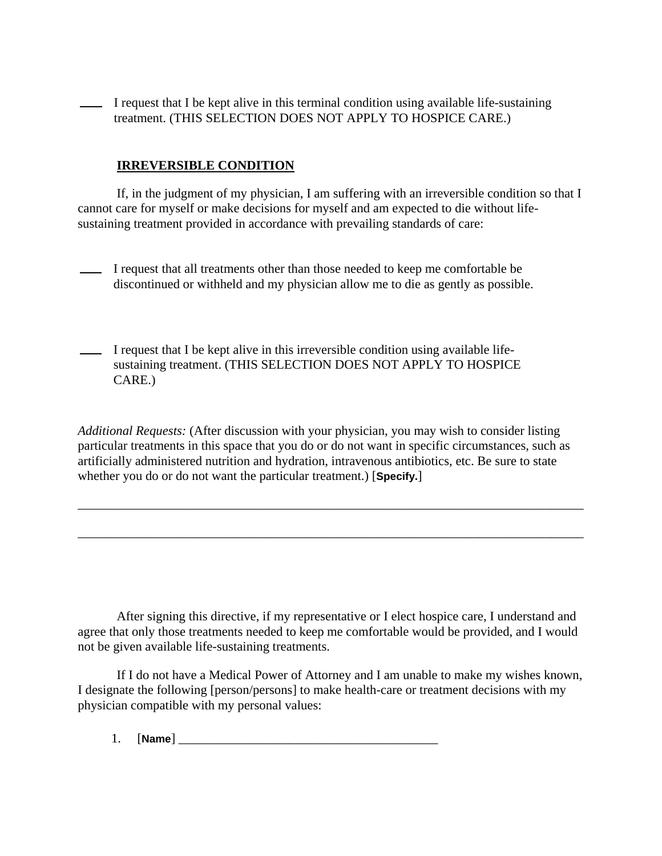I request that I be kept alive in this terminal condition using available life-sustaining treatment. (THIS SELECTION DOES NOT APPLY TO HOSPICE CARE.)

## **IRREVERSIBLE CONDITION**

If, in the judgment of my physician, I am suffering with an irreversible condition so that I cannot care for myself or make decisions for myself and am expected to die without lifesustaining treatment provided in accordance with prevailing standards of care:

I request that all treatments other than those needed to keep me comfortable be discontinued or withheld and my physician allow me to die as gently as possible.

I request that I be kept alive in this irreversible condition using available lifesustaining treatment. (THIS SELECTION DOES NOT APPLY TO HOSPICE CARE.)

*Additional Requests:* (After discussion with your physician, you may wish to consider listing particular treatments in this space that you do or do not want in specific circumstances, such as artificially administered nutrition and hydration, intravenous antibiotics, etc. Be sure to state whether you do or do not want the particular treatment.) [**Specify.**]

\_\_\_\_\_\_\_\_\_\_\_\_\_\_\_\_\_\_\_\_\_\_\_\_\_\_\_\_\_\_\_\_\_\_\_\_\_\_\_\_\_\_\_\_\_\_\_\_\_\_\_\_\_\_\_\_\_\_\_\_\_\_\_\_\_\_\_\_\_\_\_\_\_\_\_\_\_\_

\_\_\_\_\_\_\_\_\_\_\_\_\_\_\_\_\_\_\_\_\_\_\_\_\_\_\_\_\_\_\_\_\_\_\_\_\_\_\_\_\_\_\_\_\_\_\_\_\_\_\_\_\_\_\_\_\_\_\_\_\_\_\_\_\_\_\_\_\_\_\_\_\_\_\_\_\_\_

After signing this directive, if my representative or I elect hospice care, I understand and agree that only those treatments needed to keep me comfortable would be provided, and I would not be given available life-sustaining treatments.

If I do not have a Medical Power of Attorney and I am unable to make my wishes known, I designate the following [person/persons] to make health-care or treatment decisions with my physician compatible with my personal values:

1. [**Name**] \_\_\_\_\_\_\_\_\_\_\_\_\_\_\_\_\_\_\_\_\_\_\_\_\_\_\_\_\_\_\_\_\_\_\_\_\_\_\_\_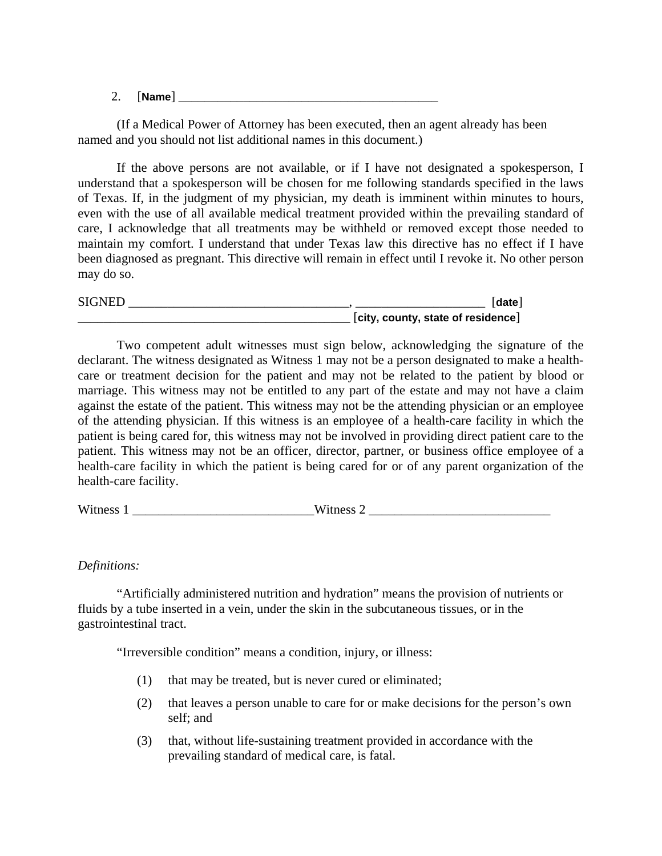2. [**Name**] \_\_\_\_\_\_\_\_\_\_\_\_\_\_\_\_\_\_\_\_\_\_\_\_\_\_\_\_\_\_\_\_\_\_\_\_\_\_\_\_

(If a Medical Power of Attorney has been executed, then an agent already has been named and you should not list additional names in this document.)

If the above persons are not available, or if I have not designated a spokesperson, I understand that a spokesperson will be chosen for me following standards specified in the laws of Texas. If, in the judgment of my physician, my death is imminent within minutes to hours, even with the use of all available medical treatment provided within the prevailing standard of care, I acknowledge that all treatments may be withheld or removed except those needed to maintain my comfort. I understand that under Texas law this directive has no effect if I have been diagnosed as pregnant. This directive will remain in effect until I revoke it. No other person may do so.

| <b>SIGNED</b> | l date l                           |
|---------------|------------------------------------|
|               | [city, county, state of residence] |

Two competent adult witnesses must sign below, acknowledging the signature of the declarant. The witness designated as Witness 1 may not be a person designated to make a healthcare or treatment decision for the patient and may not be related to the patient by blood or marriage. This witness may not be entitled to any part of the estate and may not have a claim against the estate of the patient. This witness may not be the attending physician or an employee of the attending physician. If this witness is an employee of a health-care facility in which the patient is being cared for, this witness may not be involved in providing direct patient care to the patient. This witness may not be an officer, director, partner, or business office employee of a health-care facility in which the patient is being cared for or of any parent organization of the health-care facility.

Witness 1

### *Definitions:*

"Artificially administered nutrition and hydration" means the provision of nutrients or fluids by a tube inserted in a vein, under the skin in the subcutaneous tissues, or in the gastrointestinal tract.

"Irreversible condition" means a condition, injury, or illness:

- (1) that may be treated, but is never cured or eliminated;
- (2) that leaves a person unable to care for or make decisions for the person's own self; and
- (3) that, without life-sustaining treatment provided in accordance with the prevailing standard of medical care, is fatal.